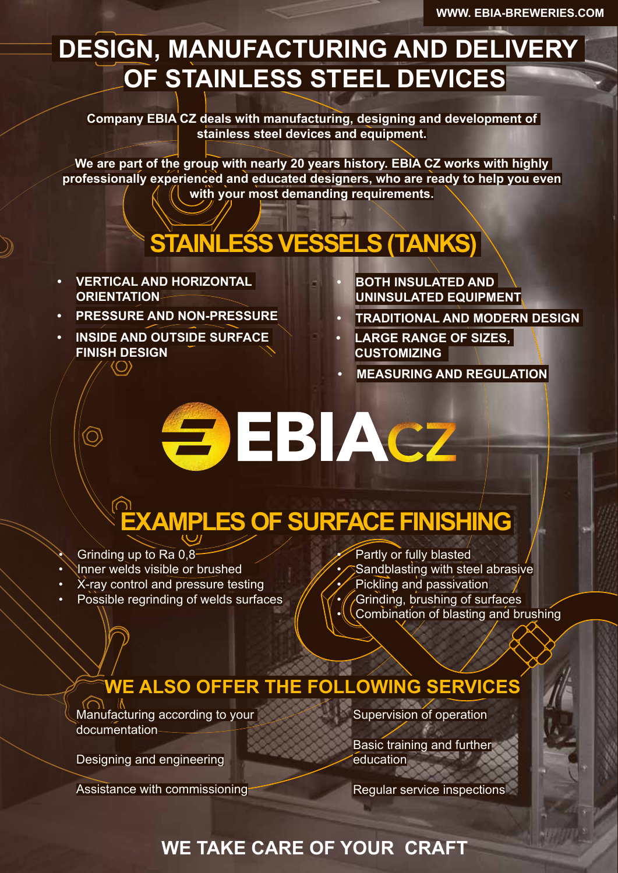## **DESIGN, MANUFACTURING AND DELIVERY OF STAINLESS STEEL DEVICES**

**Company EBIA CZ deals with manufacturing, designing and development of stainless steel devices and equipment.**

**We are part of the group with nearly 20 years history. EBIA CZ works with highly professionally experienced and educated designers, who are ready to help you even with your most demanding requirements.**

# **STAINLESS VESSELS (TANKS)**

- **• VERTICAL AND HORIZONTAL ORIENTATION**
- **• PRESSURE AND NON-PRESSURE**
- **• INSIDE AND OUTSIDE SURFACE FINISH DESIGN**
- **• BOTH INSULATED AND UNINSULATED ЕQUIPMENT**
- **• TRADITIONAL AND MODERN DESIGN**
- **• LARGE RANGE OF SIZES, CUSTOMIZING**
- **• MEASURING AND REGULATION**

**EDIACZ** 

# **EXAMPLES OF SURFACE FINISHING**

Grinding up to Ra 0.8

<u>ර</u>

- Inner welds visible or brushed
- X-ray control and pressure testing
- Possible regrinding of welds surfaces
- Partly or fully blasted
- Sandblasting with steel abrasive
- Pickling and passivation
- Grinding, brushing of surfaces
- Combination of blasting and brushing

### **WE ALSO OFFER THE FOLLOWING SERVICES**

Manufacturing according to your documentation

Designing and engineering

Assistance with commissioning

Supervision of operation

Basic training and further education

Regular service inspections

#### **WE TAKE CARE OF YOUR CRAFT**